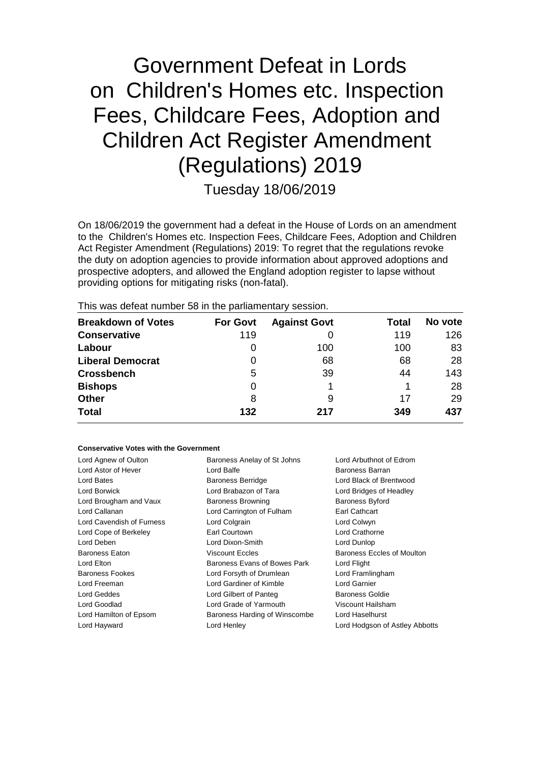# Government Defeat in Lords on Children's Homes etc. Inspection Fees, Childcare Fees, Adoption and Children Act Register Amendment (Regulations) 2019

Tuesday 18/06/2019

On 18/06/2019 the government had a defeat in the House of Lords on an amendment to the Children's Homes etc. Inspection Fees, Childcare Fees, Adoption and Children Act Register Amendment (Regulations) 2019: To regret that the regulations revoke the duty on adoption agencies to provide information about approved adoptions and prospective adopters, and allowed the England adoption register to lapse without providing options for mitigating risks (non-fatal).

This was defeat number 58 in the parliamentary session.

| <b>Breakdown of Votes</b> | <b>For Govt</b> | <b>Against Govt</b> | Total | No vote |
|---------------------------|-----------------|---------------------|-------|---------|
| <b>Conservative</b>       | 119             |                     | 119   | 126     |
| Labour                    | 0               | 100                 | 100   | 83      |
| <b>Liberal Democrat</b>   | 0               | 68                  | 68    | 28      |
| <b>Crossbench</b>         | 5               | 39                  | 44    | 143     |
| <b>Bishops</b>            | 0               |                     |       | 28      |
| Other                     | 8               | 9                   | 17    | 29      |
| <b>Total</b>              | 132             | 217                 | 349   | 437     |

#### **Conservative Votes with the Government**

| Baroness Anelay of St Johns   | Lord Arbuthnot of Edrom        |  |
|-------------------------------|--------------------------------|--|
| Lord Balfe                    | Baroness Barran                |  |
| <b>Baroness Berridge</b>      | Lord Black of Brentwood        |  |
| Lord Brabazon of Tara         | Lord Bridges of Headley        |  |
| <b>Baroness Browning</b>      | <b>Baroness Byford</b>         |  |
| Lord Carrington of Fulham     | Earl Cathcart                  |  |
| Lord Colgrain                 | Lord Colwyn                    |  |
| Earl Courtown                 | Lord Crathorne                 |  |
| Lord Dixon-Smith              | Lord Dunlop                    |  |
| <b>Viscount Eccles</b>        | Baroness Eccles of Moulton     |  |
| Baroness Evans of Bowes Park  | Lord Flight                    |  |
| Lord Forsyth of Drumlean      | Lord Framlingham               |  |
| Lord Gardiner of Kimble       | Lord Garnier                   |  |
| Lord Gilbert of Panteg        | Baroness Goldie                |  |
| Lord Grade of Yarmouth        | Viscount Hailsham              |  |
| Baroness Harding of Winscombe | Lord Haselhurst                |  |
| Lord Henley                   | Lord Hodgson of Astley Abbotts |  |
|                               |                                |  |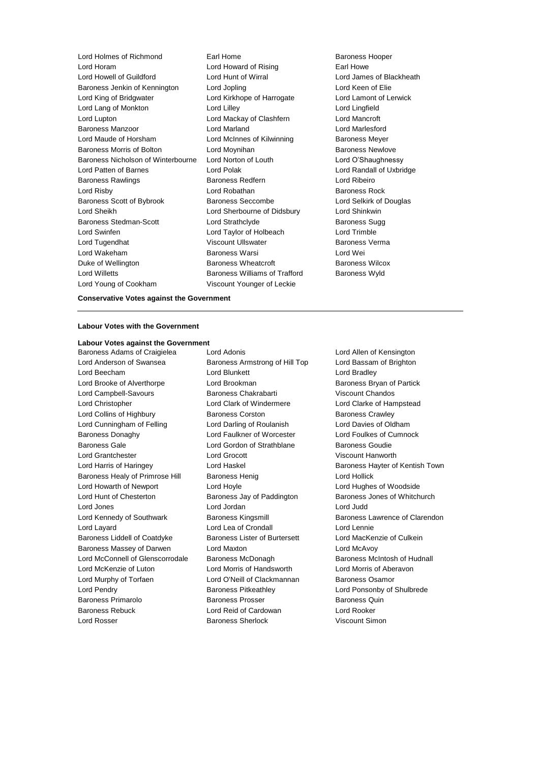Lord Holmes of Richmond Earl Home Earl Home Baroness Hooper Lord Horam Lord Howard of Rising Earl Howe Lord Howell of Guildford Lord Hunt of Wirral Lord James of Blackheath Baroness Jenkin of Kennington Lord Jopling Communication Lord Keen of Elie Lord King of Bridgwater Lord Kirkhope of Harrogate Lord Lamont of Lerwick Lord Lang of Monkton **Lord Lilley** Lord Lilley **Lord Lingfield** Lord Lupton Lord Mackay of Clashfern Lord Mancroft Baroness Manzoor Lord Marland Lord Marlesford Lord Maude of Horsham **Lord McInnes of Kilwinning** Baroness Meyer Baroness Morris of Bolton **Lord Moynihan** Baroness Newlove Baroness Nicholson of Winterbourne Lord Norton of Louth Lord O'Shaughnessy Lord Patten of Barnes Lord Polak Lord Randall of Uxbridge Baroness Rawlings **Baroness Redfern Baroness Redfern Lord Ribeiro** Lord Risby **Lord Robathan** Baroness Rock Baroness Scott of Bybrook Baroness Seccombe Lord Selkirk of Douglas Lord Sheikh Lord Sherbourne of Didsbury Lord Shinkwin Baroness Stedman-Scott **Lord Strathclyde** Baroness Sugg Lord Swinfen Lord Taylor of Holbeach Lord Trimble Lord Tugendhat **Viscount Ullswater Baroness Verma** Lord Wakeham Baroness Warsi Lord Wei Duke of Wellington Baroness Wheatcroft Baroness Wilcox Lord Willetts **Baroness Williams of Trafford** Baroness Wyld Lord Young of Cookham Viscount Younger of Leckie

**Conservative Votes against the Government**

#### **Labour Votes with the Government**

## **Labour Votes against the Government**

Baroness Adams of Craigielea Lord Adonis Lord Allen of Kensington Lord Anderson of Swansea **Baroness Armstrong of Hill Top** Lord Bassam of Brighton Lord Beecham **Lord Blunkett** Lord Bradley Lord Brooke of Alverthorpe **Lord Brookman** Baroness Bryan of Partick Lord Campbell-Savours Baroness Chakrabarti Viscount Chandos Lord Christopher Lord Clark of Windermere Lord Clarke of Hampstead Lord Collins of Highbury Baroness Corston Baroness Crawley Lord Cunningham of Felling Lord Darling of Roulanish Lord Davies of Oldham Baroness Donaghy Lord Faulkner of Worcester Lord Foulkes of Cumnock Baroness Gale **Lord Gordon of Strathblane** Baroness Goudie Lord Grantchester Lord Grocott Viscount Hanworth Lord Harris of Haringey **Lord Haskel Baroness Hayter of Kentish Town** Baroness Healy of Primrose Hill Baroness Henig Contract Hollick Lord Howarth of Newport Lord Hoyle Lord Hughes of Woodside Lord Hunt of Chesterton Baroness Jay of Paddington Baroness Jones of Whitchurch Lord Jones Lord Jordan Lord Judd Lord Kennedy of Southwark Baroness Kingsmill Baroness Lawrence of Clarendon Lord Layard Lord Lea of Crondall Lord Lennie Baroness Liddell of Coatdyke Baroness Lister of Burtersett Lord MacKenzie of Culkein Baroness Massey of Darwen Lord Maxton Lord McAvoy Lord McConnell of Glenscorrodale Baroness McDonagh Baroness Mc Baroness McIntosh of Hudnall Lord McKenzie of Luton Lord Morris of Handsworth Lord Morris of Aberavon Lord Murphy of Torfaen Lord O'Neill of Clackmannan Baroness Osamor Lord Pendry Baroness Pitkeathley Lord Ponsonby of Shulbrede Baroness Primarolo **Baroness Prosser** Baroness Quin Baroness Rebuck Lord Reid of Cardowan Lord Rooker Lord Rosser **Baroness Sherlock** Viscount Simon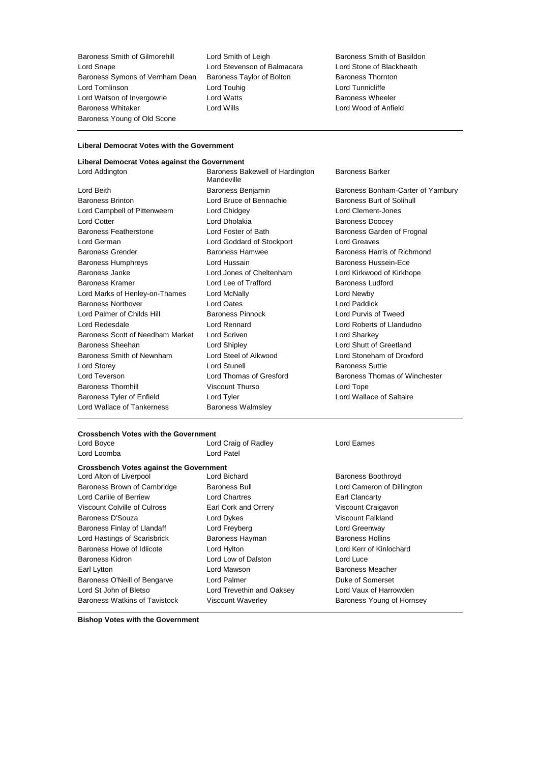Baroness Smith of Gilmorehill Lord Smith of Leigh Baroness Smith of Basildon<br>
Lord Stevenson of Balmacara Lord Stone of Blackheath Lord Snape **Lord Stevenson of Balmacara** Baroness Symons of Vernham Dean Baroness Taylor of Bolton Baroness Thornton Lord Tomlinson Lord Touhig Lord Tunnicliffe Lord Watson of Invergowrie **Lord Watts Baroness Wheeler** Baroness Wheeler Baroness Whitaker Lord Wills Lord Wood of Anfield Baroness Young of Old Scone

### **Liberal Democrat Votes with the Government**

#### **Liberal Democrat Votes against the Government**

Lord Beith Baroness Benjamin Baroness Bonham-Carter of Yarnbury Baroness Brinton Lord Bruce of Bennachie Baroness Burt of Solihull Lord Campbell of Pittenweem Lord Chidgey Lord Clement-Jones Lord Cotter **Lord Dholakia** Baroness Doocey Baroness Featherstone Lord Foster of Bath Baroness Garden of Frognal Lord German Lord Goddard of Stockport Lord Greaves Baroness Grender Baroness Hamwee Baroness Harris of Richmond Baroness Humphreys Lord Hussain Baroness Hussein-Ece Baroness Janke Lord Jones of Cheltenham Lord Kirkwood of Kirkhope Baroness Kramer Lord Lee of Trafford Baroness Ludford Lord Marks of Henley-on-Thames Lord McNally Lord Newby Baroness Northover Lord Oates Lord Paddick Lord Palmer of Childs Hill Baroness Pinnock Lord Purvis of Tweed Lord Redesdale Lord Rennard Lord Roberts of Llandudno Baroness Scott of Needham Market Lord Scriven Lord Sharkey Lord Sharkey Baroness Sheehan Lord Shipley Lord Shutt of Greetland Baroness Smith of Newnham Lord Steel of Aikwood Lord Stoneham of Droxford Lord Storey Lord Stunell Baroness Suttie Lord Teverson **Lord Thomas of Gresford** Baroness Thomas of Winchester Baroness Thornhill Viscount Thurso Lord Tope Baroness Tyler of Enfield **Lord Tyler** Lord Tyler Lord Wallace of Saltaire Lord Wallace of Tankerness **Baroness Walmsley** 

Lord Addington **Baroness Bakewell of Hardington** Mandeville

Baroness Barker

## **Crossbench Votes with the Government**

Lord Loomba Lord Patel

Lord Craig of Radley **Lord Eames** 

## **Crossbench Votes against the Government**

Baroness Brown of Cambridge Baroness Bull Baroness Bull Lord Cameron of Dillington Lord Carlile of Berriew **Lord Chartres Earl Clancarty** Viscount Colville of Culross Earl Cork and Orrery Viscount Craigavon Baroness D'Souza **March 2008** Lord Dykes **Communist Communist Communist Communist Communist Communist Communist Communist Communist Communist Communist Communist Communist Communist Communist Communist Communist Communist** Baroness Finlay of Llandaff Lord Freyberg Contains a Lord Greenway Lord Hastings of Scarisbrick Baroness Hayman Baroness Hollins Baroness Howe of Idlicote Lord Hylton Lord Kerr of Kinlochard Baroness Kidron **Lord Low of Dalston** Lord Luce Earl Lytton **Lord Mawson** Correspondent Lord Mawson **Baroness Meacher** Baroness O'Neill of Bengarve Lord Palmer North Communication Communication Communication Communication Communication Communication Communication Communication Communication Communication Communication Communication Communi Lord St John of Bletso Lord Trevethin and Oaksey Lord Vaux of Harrowden Baroness Watkins of Tavistock Viscount Waverley Baroness Young of Hornsey

Lord Alton of Liverpool **Lord Bichard Lord Bichard** Baroness Boothroyd

**Bishop Votes with the Government**